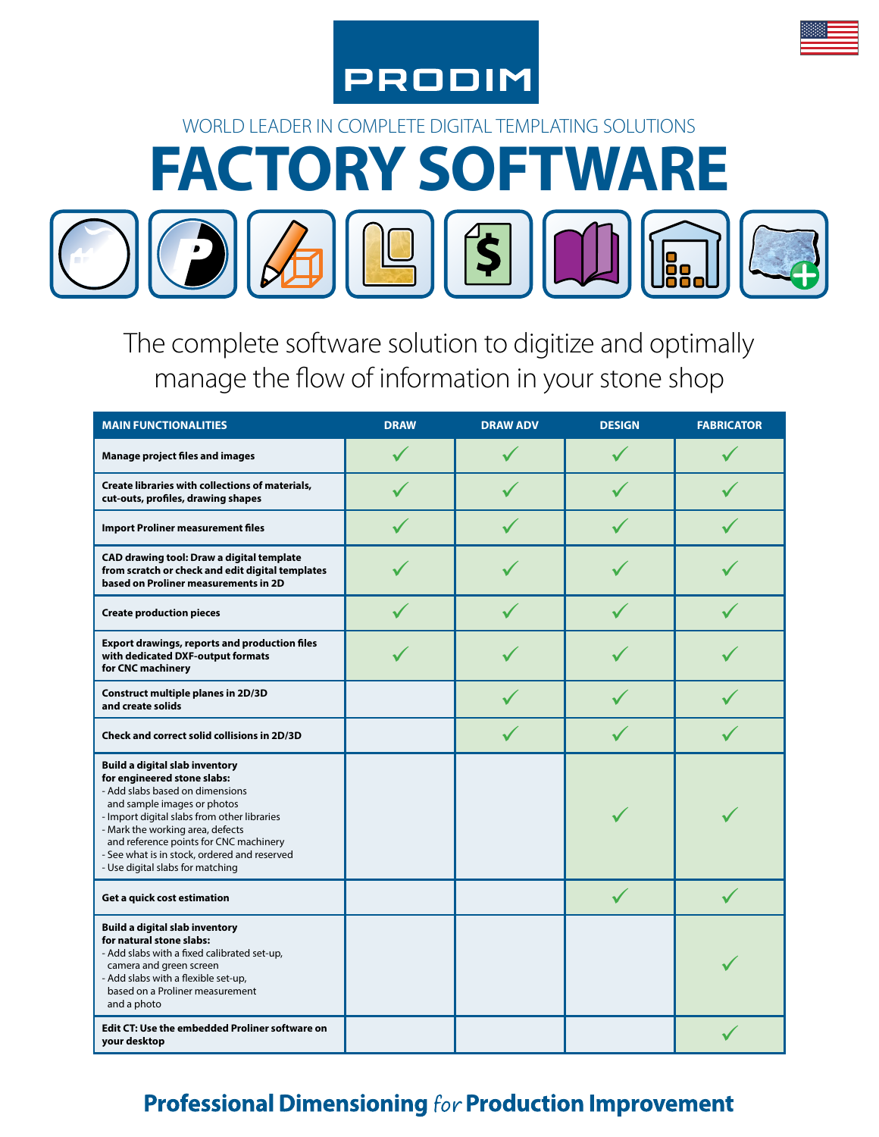



The complete software solution to digitize and optimally manage the flow of information in your stone shop

| <b>MAIN FUNCTIONALITIES</b>                                                                                                                                                                                                                                                                                                                             | <b>DRAW</b> | <b>DRAW ADV</b> | <b>DESIGN</b> | <b>FABRICATOR</b> |
|---------------------------------------------------------------------------------------------------------------------------------------------------------------------------------------------------------------------------------------------------------------------------------------------------------------------------------------------------------|-------------|-----------------|---------------|-------------------|
| <b>Manage project files and images</b>                                                                                                                                                                                                                                                                                                                  |             |                 |               |                   |
| <b>Create libraries with collections of materials,</b><br>cut-outs, profiles, drawing shapes                                                                                                                                                                                                                                                            |             |                 |               |                   |
| <b>Import Proliner measurement files</b>                                                                                                                                                                                                                                                                                                                |             |                 |               |                   |
| CAD drawing tool: Draw a digital template<br>from scratch or check and edit digital templates<br>based on Proliner measurements in 2D                                                                                                                                                                                                                   |             |                 |               |                   |
| <b>Create production pieces</b>                                                                                                                                                                                                                                                                                                                         |             |                 |               |                   |
| <b>Export drawings, reports and production files</b><br>with dedicated DXF-output formats<br>for CNC machinery                                                                                                                                                                                                                                          |             |                 |               |                   |
| Construct multiple planes in 2D/3D<br>and create solids                                                                                                                                                                                                                                                                                                 |             |                 |               |                   |
| <b>Check and correct solid collisions in 2D/3D</b>                                                                                                                                                                                                                                                                                                      |             |                 |               |                   |
| <b>Build a digital slab inventory</b><br>for engineered stone slabs:<br>- Add slabs based on dimensions<br>and sample images or photos<br>- Import digital slabs from other libraries<br>- Mark the working area, defects<br>and reference points for CNC machinery<br>- See what is in stock, ordered and reserved<br>- Use digital slabs for matching |             |                 |               |                   |
| Get a quick cost estimation                                                                                                                                                                                                                                                                                                                             |             |                 |               |                   |
| <b>Build a digital slab inventory</b><br>for natural stone slabs:<br>- Add slabs with a fixed calibrated set-up,<br>camera and green screen<br>- Add slabs with a flexible set-up,<br>based on a Proliner measurement<br>and a photo                                                                                                                    |             |                 |               |                   |
| <b>Edit CT: Use the embedded Proliner software on</b><br>your desktop                                                                                                                                                                                                                                                                                   |             |                 |               |                   |

### **Professional Dimensioning for Production Improvement**